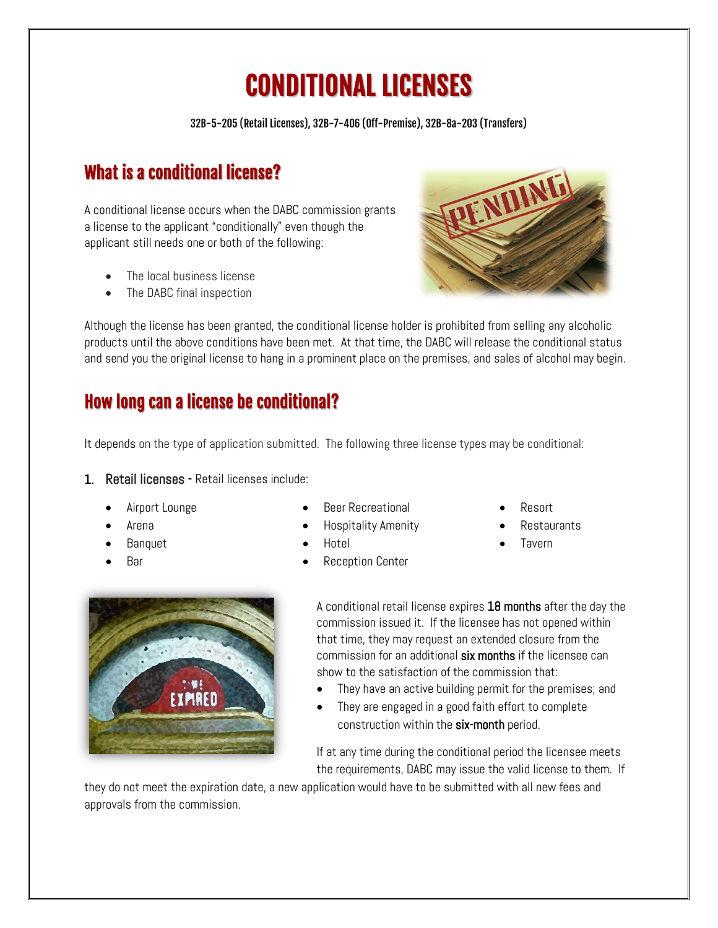# CONDITIONAL LICENSES

32B-5-205 (Retail Licenses), 32B-7-406 (Off-Premise), 32B-8a-203 (Transfers)

# What is a conditional license?

A conditional license occurs when the DABC commission grants a license to the applicant "conditionally" even though the applicant still needs one or both of the following:

- The local business license
- The DABC final inspection

Although the license has been granted, the conditional license holder is prohibited from selling any alcoholic products until the above conditions have been met. At that time, the DABC will release the conditional status and send you the original license to hang in a prominent place on the premises, and sales of alcohol may begin.

## How long can a license be conditional?

It depends on the type of application submitted. The following three license types may be conditional:

#### 1. Retail licenses - Retail licenses include:

- Airport Lounge
- Arena
- Banquet
- Bar
- Beer Recreational
- Hospitality Amenity
- Hotel
- Reception Center
- Resort
- Restaurants
- Tavern



A conditional retail license expires 18 months after the day the commission issued it. If the licensee has not opened within that time, they may request an extended closure from the commission for an additional six months if the licensee can show to the satisfaction of the commission that:

- They have an active building permit for the premises; and
- They are engaged in a good faith effort to complete construction within the six-month period.

If at any time during the conditional period the licensee meets the requirements, DABC may issue the valid license to them. If

they do not meet the expiration date, a new application would have to be submitted with all new fees and approvals from the commission.